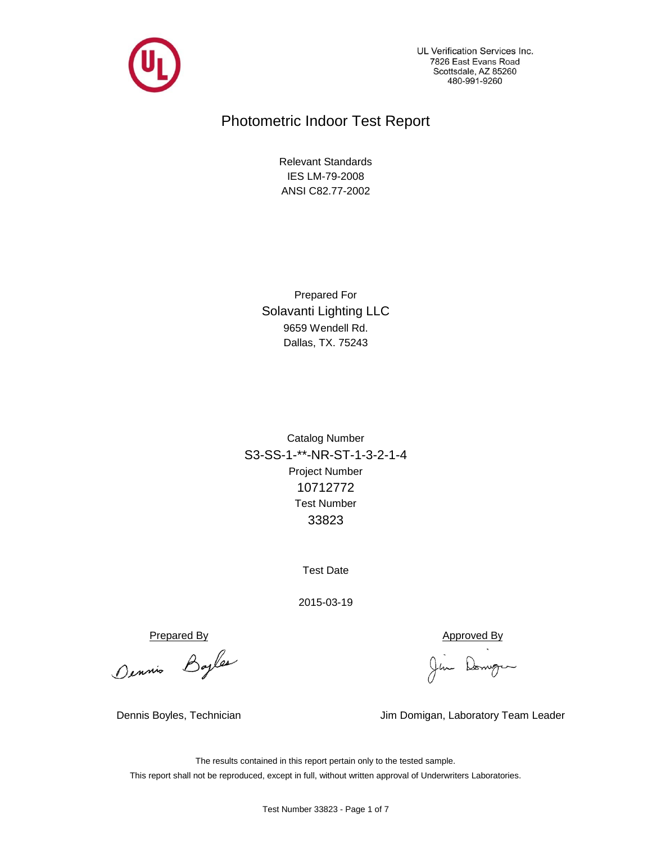

UL Verification Services Inc. 7826 East Evans Road Scottsdale, AZ 85260 480-991-9260

# Photometric Indoor Test Report

ANSI C82.77-2002 IES LM-79-2008 Relevant Standards

Dallas, TX. 75243 9659 Wendell Rd. Solavanti Lighting LLC Prepared For

Project Number 10712772 S3-SS-1-\*\*-NR-ST-1-3-2-1-4 33823 Test Number Catalog Number

Test Date

2015-03-19

Prepared By<br>Dennis Bayles (Jim Domingum

Dennis Boyles, Technician Jim Domigan, Laboratory Team Leader

The results contained in this report pertain only to the tested sample. This report shall not be reproduced, except in full, without written approval of Underwriters Laboratories.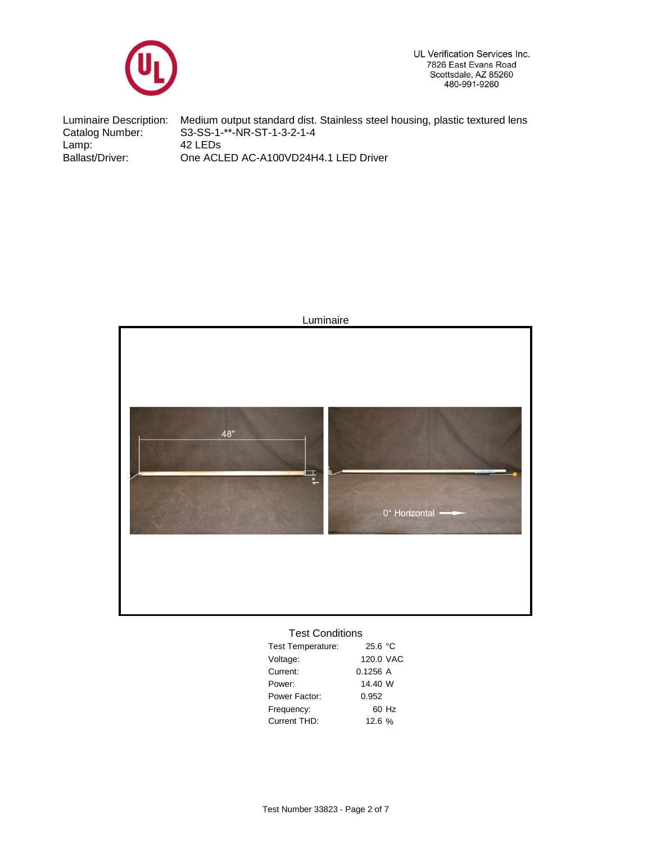

UL Verification Services Inc. 7826 East Evans Road Scottsdale, AZ 85260<br>480-991-9260

Ballast/Driver: 42 LEDs Luminaire Description: Catalog Number: Medium output standard dist. Stainless steel housing, plastic textured lens S3-SS-1-\*\*-NR-ST-1-3-2-1-4 Lamp: One ACLED AC-A100VD24H4.1 LED Driver



## Test Conditions

| <b>Test Temperature:</b> | 25.6 °C   |       |
|--------------------------|-----------|-------|
| Voltage:                 | 120.0 VAC |       |
| Current:                 | 0.1256A   |       |
| Power:                   | 14.40 W   |       |
| Power Factor:            | 0.952     |       |
| Frequency:               |           | 60 Hz |
| Current THD:             | 12.6%     |       |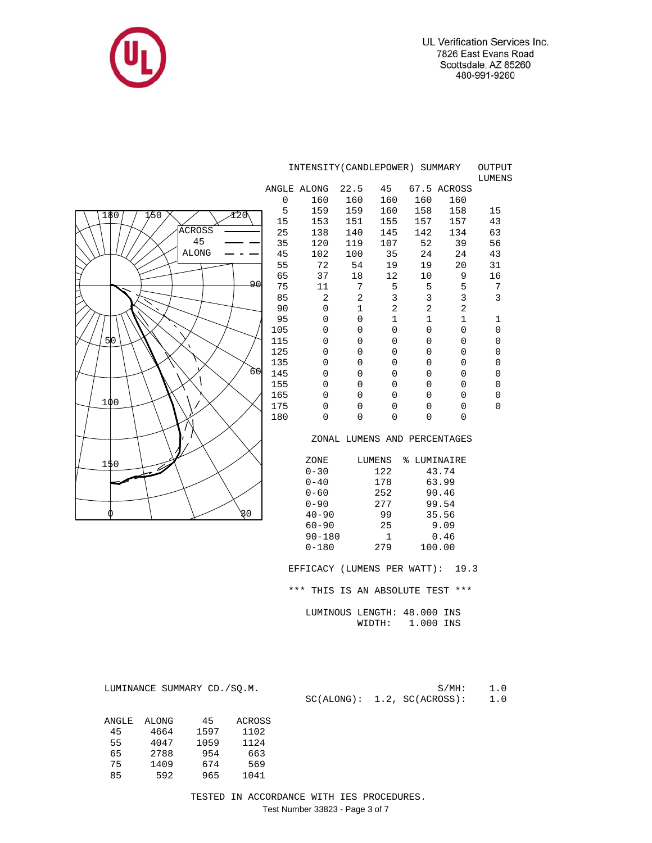



|                             |     | INTENSITY (CANDLEPOWER) SUMMARY<br>OUTPUT |                             |                |              |                              |                |  |  |  |
|-----------------------------|-----|-------------------------------------------|-----------------------------|----------------|--------------|------------------------------|----------------|--|--|--|
|                             |     | ANGLE ALONG                               | 22.5                        | 45             |              | 67.5 ACROSS                  | LUMENS         |  |  |  |
|                             | 0   | 160                                       | 160                         | 160            | 160          | 160                          |                |  |  |  |
|                             | 5   | 159                                       | 159                         | 160            | 158          | 158                          | 15             |  |  |  |
| 1⁄50<br>Y20<br>180          | 15  | 153                                       | 151                         | 155            | 157          | 157                          | 43             |  |  |  |
| ACROSS                      | 25  | 138                                       | 140                         | 145            | 142          | 134                          | 63             |  |  |  |
| 45                          | 35  | 120                                       | 119                         | 107            | 52           | 39                           | 56             |  |  |  |
| <b>ALONG</b>                | 45  | 102                                       | 100                         | 35             | 24           | 24                           | 43             |  |  |  |
|                             | 55  | 72                                        | 54                          | 19             | 19           | 20                           | 31             |  |  |  |
|                             | 65  | 37                                        | 18                          | 12             | 10           | 9                            | 16             |  |  |  |
| ا90                         | 75  | 11                                        | 7                           | 5              | 5            | 5                            | 7              |  |  |  |
|                             | 85  | 2                                         | 2                           | 3              | 3            | 3                            | 3              |  |  |  |
|                             | 90  | 0                                         | 1                           | 2              | 2            | 2                            |                |  |  |  |
|                             | 95  | 0                                         | 0                           | 1              | $\mathbf{1}$ | $\mathbf 1$                  | $\mathbf 1$    |  |  |  |
|                             | 105 | 0                                         | 0                           | 0              | 0            | $\mathbf 0$                  | $\mathbf 0$    |  |  |  |
| 50 <sub>0</sub>             | 115 | 0                                         | 0                           | 0              | 0            | $\overline{0}$               | 0              |  |  |  |
|                             | 125 | 0                                         | 0                           | $\mathbf 0$    | $\mathbf 0$  | 0                            | 0              |  |  |  |
|                             | 135 | 0                                         | 0                           | 0              | 0            | $\mathbf 0$                  | 0              |  |  |  |
| 60                          | 145 | 0                                         | 0                           | $\overline{0}$ | 0            | 0                            | 0              |  |  |  |
|                             | 155 | 0                                         | 0                           | $\mathbf 0$    | 0            | $\mathbf 0$                  | $\mathbf 0$    |  |  |  |
|                             | 165 | 0                                         | 0                           | $\overline{0}$ | 0            | $\mathbf 0$                  | $\overline{0}$ |  |  |  |
| 100                         | 175 | 0                                         | 0                           | 0              | 0            | 0                            | 0              |  |  |  |
|                             | 180 | 0                                         | 0                           | $\overline{0}$ | 0            | $\Omega$                     |                |  |  |  |
|                             |     |                                           |                             |                |              | ZONAL LUMENS AND PERCENTAGES |                |  |  |  |
|                             |     | ZONE                                      |                             | LUMENS         | % LUMINAIRE  |                              |                |  |  |  |
| 150                         |     | $0 - 30$                                  |                             | 122            |              | 43.74                        |                |  |  |  |
|                             |     | $0 - 40$                                  |                             | 178            |              | 63.99                        |                |  |  |  |
|                             |     | $0 - 60$                                  |                             | 252            |              | 90.46                        |                |  |  |  |
|                             |     | $0 - 90$                                  |                             | 277            |              | 99.54                        |                |  |  |  |
| 30<br>⋒                     |     | $40 - 90$                                 |                             | 99             |              | 35.56                        |                |  |  |  |
|                             |     | $60 - 90$                                 |                             | 25             |              | 9.09                         |                |  |  |  |
|                             |     | $90 - 180$                                |                             | 1              |              | 0.46                         |                |  |  |  |
|                             |     | $0 - 180$                                 |                             | 279            |              | 100.00                       |                |  |  |  |
|                             |     | EFFICACY (LUMENS PER WATT): 19.3          |                             |                |              |                              |                |  |  |  |
|                             |     | *** THIS IS AN ABSOLUTE TEST ***          |                             |                |              |                              |                |  |  |  |
|                             |     |                                           | LUMINOUS LENGTH: 48.000 INS |                |              |                              |                |  |  |  |
|                             |     |                                           |                             | WIDTH:         | 1.000 INS    |                              |                |  |  |  |
|                             |     |                                           |                             |                |              |                              |                |  |  |  |
|                             |     |                                           |                             |                |              |                              |                |  |  |  |
| LUMINANCE SUMMARY CD./SQ.M. |     |                                           |                             |                |              | $S/MH$ :                     | 1.0            |  |  |  |
|                             |     |                                           | SC(ALONG): 1.2, SC(ACROSS): |                |              |                              | 1.0            |  |  |  |

 TESTED IN ACCORDANCE WITH IES PROCEDURES. Test Number 33823 - Page 3 of 7

 ANGLE ALONG 45 ACROSS 45 4664 1597 1102 55 4047 1059 1124 65 2788 954 663 75 1409 674 569 85 592 965 1041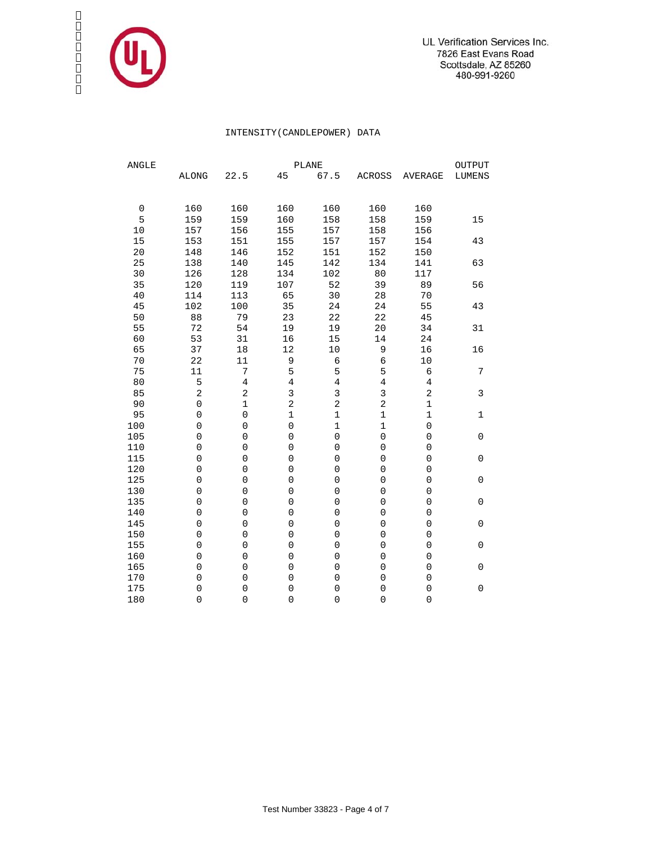

## INTENSITY(CANDLEPOWER) DATA

| ANGLE       | PLANE<br>OUTPUT     |                     |                     |                     |                     |                     |               |  |  |  |  |  |  |
|-------------|---------------------|---------------------|---------------------|---------------------|---------------------|---------------------|---------------|--|--|--|--|--|--|
|             | <b>ALONG</b>        | 22.5                | 45                  | 67.5                | <b>ACROSS</b>       | <b>AVERAGE</b>      | <b>LUMENS</b> |  |  |  |  |  |  |
|             |                     |                     |                     |                     |                     |                     |               |  |  |  |  |  |  |
| $\mathbf 0$ | 160                 | 160                 | 160                 | 160                 | 160                 | 160                 |               |  |  |  |  |  |  |
| 5           | 159                 | 159                 | 160                 | 158                 | 158                 | 159                 | 15            |  |  |  |  |  |  |
| 10          | 157                 | 156                 | 155                 | 157                 | 158                 | 156                 |               |  |  |  |  |  |  |
| 15          | 153                 | 151                 | 155                 | 157                 | 157                 | 154                 | 43            |  |  |  |  |  |  |
| $20$        | 148                 | 146                 | 152                 | 151                 | 152                 | 150                 |               |  |  |  |  |  |  |
| 25          | 138                 | 140                 | 145                 | 142                 | 134                 | 141                 | 63            |  |  |  |  |  |  |
| 30          | 126                 | 128                 | 134                 | 102                 | 80                  | 117                 |               |  |  |  |  |  |  |
| 35          | 120                 | 119                 | 107                 | 52                  | 39                  | 89                  | 56            |  |  |  |  |  |  |
| 40          | 114                 | 113                 | 65                  | 30                  | 28                  | 70                  |               |  |  |  |  |  |  |
| 45          | 102                 | 100                 | 35                  | 24                  | 24                  | 55                  | 43            |  |  |  |  |  |  |
| 50          | 88                  | 79                  | 23                  | 22                  | 22                  | 45                  |               |  |  |  |  |  |  |
| 55          | 72                  | 54                  | 19                  | 19                  | 20                  | 34                  | 31            |  |  |  |  |  |  |
| 60          | 53                  | 31                  | 16                  | 15                  | 14                  | 24                  |               |  |  |  |  |  |  |
| 65          | 37                  | 18                  | 12                  | $10$                | $\mathsf 9$         | 16                  | 16            |  |  |  |  |  |  |
| $70$        | 22                  | 11                  | 9                   | $\epsilon$          | $\epsilon$          | 10                  |               |  |  |  |  |  |  |
| 75          | 11                  | 7                   | 5                   | 5                   | 5                   | 6                   | 7             |  |  |  |  |  |  |
| 80          | 5                   | $\overline{4}$      | $\,4$               | $\overline{4}$      | $\overline{4}$      | 4                   |               |  |  |  |  |  |  |
| 85          | 2                   | 2                   | 3                   | 3                   | 3                   | 2                   | 3             |  |  |  |  |  |  |
| 90          | $\mathsf 0$         | $\mathbf 1$         | $\overline{a}$      | $\sqrt{2}$          | $\overline{a}$      | $\mathbf{1}$        |               |  |  |  |  |  |  |
| 95          | $\mathsf{O}\xspace$ | $\mathsf{O}\xspace$ | $\mathbf 1$         | $\mathbf 1$         | $\mathbf 1$         | $\mathbf 1$         | $\mathbf 1$   |  |  |  |  |  |  |
| 100         | $\mathsf{O}\xspace$ | 0                   | $\mathsf{O}\xspace$ | $\mathbf 1$         | $\mathbf 1$         | $\mathsf{O}\xspace$ |               |  |  |  |  |  |  |
| 105         | $\mathbf 0$         | 0                   | $\mathsf{O}\xspace$ | $\mathsf{O}\xspace$ | $\mathsf{O}\xspace$ | 0                   | 0             |  |  |  |  |  |  |
| 110         | $\mathbf 0$         | 0                   | $\mathbf 0$         | $\mathbf 0$         | $\mathsf{O}\xspace$ | $\mathbf 0$         |               |  |  |  |  |  |  |
| 115         | $\overline{0}$      | 0                   | $\mathbf 0$         | $\overline{0}$      | $\overline{0}$      | 0                   | 0             |  |  |  |  |  |  |
| 120         | 0                   | $\mathbf 0$         | $\mathbf 0$         | $\mathsf 0$         | $\mathsf 0$         | 0                   |               |  |  |  |  |  |  |
| 125         | $\mathbf 0$         | $\mathbf 0$         | $\mathbf 0$         | $\mathbf 0$         | $\mathbf 0$         | 0                   | $\mathbf 0$   |  |  |  |  |  |  |
| 130         | $\mathbf 0$         | $\mathbf 0$         | $\mathbf 0$         | $\mathbf 0$         | $\mathbf 0$         | $\mathbf 0$         |               |  |  |  |  |  |  |
| 135         | $\mathbf 0$         | 0                   | $\mathsf{O}\xspace$ | $\mathbf 0$         | $\mathbf 0$         | $\mathbf 0$         | $\mathbf 0$   |  |  |  |  |  |  |
| 140         | $\overline{0}$      | 0                   | $\mathbf 0$         | $\mathsf{O}\xspace$ | $\mathsf{O}\xspace$ | $\mathbf 0$         |               |  |  |  |  |  |  |
| 145         | $\overline{0}$      | 0                   | $\mathbf 0$         | $\mathbf 0$         | $\mathbf 0$         | $\mathbf 0$         | 0             |  |  |  |  |  |  |
| 150         | 0                   | $\mathbf 0$         | $\mathbf 0$         | $\mathsf{O}\xspace$ | $\mathsf 0$         | 0                   |               |  |  |  |  |  |  |
| 155         | $\mathbf 0$         | $\mathbf 0$         | $\mathbf 0$         | $\mathbf 0$         | $\mathbf 0$         | 0                   | $\mathbf 0$   |  |  |  |  |  |  |
| 160         | $\mathbf 0$         | $\mathbf 0$         | $\mathbf 0$         | $\mathbf 0$         | $\mathbf 0$         | 0                   |               |  |  |  |  |  |  |
| 165         | $\mathbf 0$         | 0                   | $\mathbf 0$         | $\mathsf 0$         | $\mathbf 0$         | 0                   | 0             |  |  |  |  |  |  |
| 170         | 0                   | 0                   | $\mathbf 0$         | $\mathbf 0$         | $\mathbf 0$         | $\mathbf 0$         |               |  |  |  |  |  |  |
| 175         | 0                   | 0                   | $\mathbf 0$         | $\mathsf{O}\xspace$ | $\overline{0}$      | $\overline{0}$      | 0             |  |  |  |  |  |  |
| 180         | 0                   | 0                   | $\mathsf{O}\xspace$ | $\overline{0}$      | $\overline{0}$      | $\overline{0}$      |               |  |  |  |  |  |  |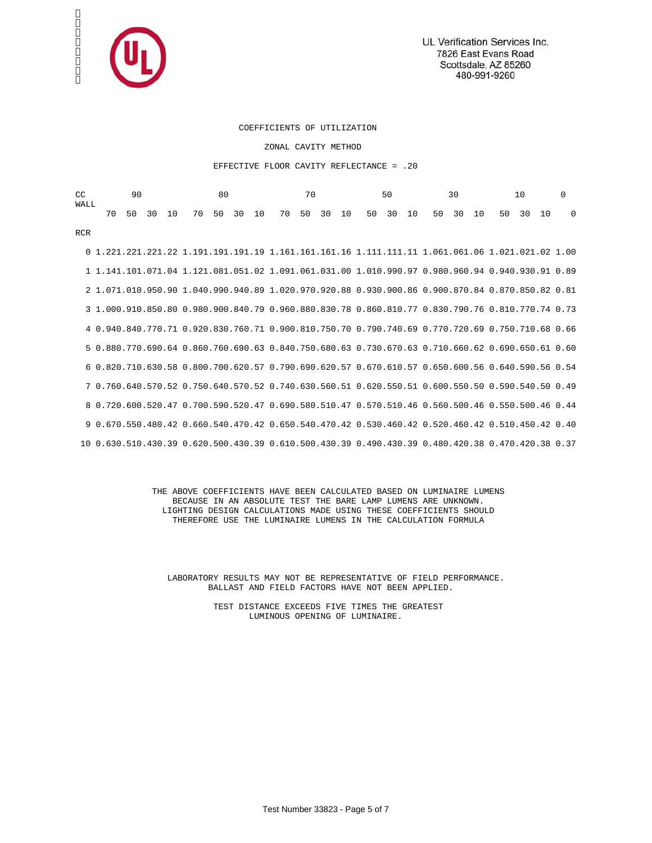

### COEFFICIENTS OF UTILIZATION

ZONAL CAVITY METHOD

#### EFFECTIVE FLOOR CAVITY REFLECTANCE = .20

| CC<br>WALL | 90 |    |    |    | 80 |    |    | 70 |    |    |    | 50 |    |    | 30 |    |    | 10 |    |                                                                                                   | $\Omega$ |    |          |
|------------|----|----|----|----|----|----|----|----|----|----|----|----|----|----|----|----|----|----|----|---------------------------------------------------------------------------------------------------|----------|----|----------|
|            |    | 70 | 50 | 30 | 10 | 70 | 50 | 30 | 10 | 70 | 50 | 30 | 10 | 50 | 30 | 10 | 50 | 30 | 10 | 50                                                                                                | 30       | 10 | $\Omega$ |
| <b>RCR</b> |    |    |    |    |    |    |    |    |    |    |    |    |    |    |    |    |    |    |    |                                                                                                   |          |    |          |
|            |    |    |    |    |    |    |    |    |    |    |    |    |    |    |    |    |    |    |    |                                                                                                   |          |    |          |
|            |    |    |    |    |    |    |    |    |    |    |    |    |    |    |    |    |    |    |    | 1 1.141.101.071.04 1.121.081.051.02 1.091.061.031.00 1.010.990.97 0.980.960.94 0.940.930.91 0.89  |          |    |          |
|            |    |    |    |    |    |    |    |    |    |    |    |    |    |    |    |    |    |    |    | 2 1 071 010 950 90 1 040 990 940 89 1 020 970 920 88 0 930 900 86 0 900 870 84 0 870 850 82 0 81  |          |    |          |
|            |    |    |    |    |    |    |    |    |    |    |    |    |    |    |    |    |    |    |    | 3 1.000.910.850.80 0.980.900.840.79 0.960.880.830.78 0.860.810.77 0.830.790.76 0.810.770.74 0.73  |          |    |          |
|            |    |    |    |    |    |    |    |    |    |    |    |    |    |    |    |    |    |    |    | 4 0.940.840.770.71 0.920.830.760.71 0.900.810.750.70 0.790.740.69 0.770.720.69 0.750.710.68 0.66  |          |    |          |
|            |    |    |    |    |    |    |    |    |    |    |    |    |    |    |    |    |    |    |    | 5 0.880.770.690.64 0.860.760.690.63 0.840.750.680.63 0.730.670.63 0.710.660.62 0.690.650.61 0.60  |          |    |          |
|            |    |    |    |    |    |    |    |    |    |    |    |    |    |    |    |    |    |    |    | 6 0.820.710.630.58 0.800.700.620.57 0.790.690.620.57 0.670.610.57 0.650.600.56 0.640.590.56 0.54  |          |    |          |
|            |    |    |    |    |    |    |    |    |    |    |    |    |    |    |    |    |    |    |    | 7 0.760.640.570.52 0.750.640.570.52 0.740.630.560.51 0.620.550.51 0.600.550.50 0.590.540.50 0.49  |          |    |          |
|            |    |    |    |    |    |    |    |    |    |    |    |    |    |    |    |    |    |    |    | 8 0.720.600.520.47 0.700.590.520.47 0.690.580.510.47 0.570.510.46 0.560.500.46 0.550.500.46 0.44  |          |    |          |
|            |    |    |    |    |    |    |    |    |    |    |    |    |    |    |    |    |    |    |    | 9 0.670.550.480.42 0.660.540.470.42 0.650.540.470.42 0.530.460.42 0.520.460.42 0.510.450.42 0.40  |          |    |          |
|            |    |    |    |    |    |    |    |    |    |    |    |    |    |    |    |    |    |    |    | 10 0.630.510.430.39 0.620.500.430.39 0.610.500.430.39 0.490.430.39 0.480.420.38 0.470.420.38 0.37 |          |    |          |

 THE ABOVE COEFFICIENTS HAVE BEEN CALCULATED BASED ON LUMINAIRE LUMENS BECAUSE IN AN ABSOLUTE TEST THE BARE LAMP LUMENS ARE UNKNOWN. LIGHTING DESIGN CALCULATIONS MADE USING THESE COEFFICIENTS SHOULD THEREFORE USE THE LUMINAIRE LUMENS IN THE CALCULATION FORMULA

 LABORATORY RESULTS MAY NOT BE REPRESENTATIVE OF FIELD PERFORMANCE. BALLAST AND FIELD FACTORS HAVE NOT BEEN APPLIED.

> TEST DISTANCE EXCEEDS FIVE TIMES THE GREATEST LUMINOUS OPENING OF LUMINAIRE.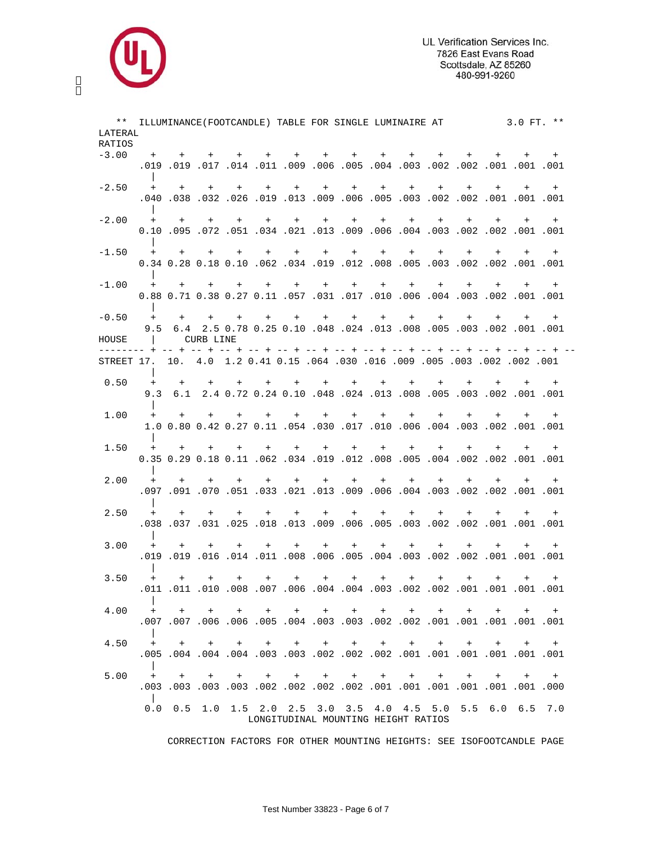

| RATIOS<br>$-3.00$<br>+ + + + + + + + + + +<br>$+$<br>$+$ $-$<br>$+$ $-$<br>$-2.50$<br>+ + + + + + + + + + + + +<br>$+$<br>001. 1001. 1002. 2002. 2002. 2003. 2005. 2009. 2013. 201. 201. 202. 203. 400. 400.<br>$-2.00$<br>+ + + + + + + + + + + + + +<br>$+$ $-$<br>+ + + + + + + + + + + +<br>$-1.50$<br>$+$ $+$<br>0.01. 0.01. 0.02. 0.02. 0.03. 0.05. 0.08. 0.02. 0.09. 0.02. 0.00. 0.18 0.18 0.19<br>$-1.00$<br>+ + + + + + + + + + + + + + +<br>0.001 0.01. 002 0.01. 0.01. 0.01. 0.01. 0.01. 0.01. 0.01. 0.38 0.27 0.11 0.57. 0.38<br>$-0.50$<br>$+$<br>+ + + + + + + +<br>$+$<br>$+$<br>$+$<br>$+$ $-$<br>$+$ $-$<br>9.5 6.4 2.5 0.78 0.25 0.10 .048 .024 .013 .008 .005 .003 .002 .011 001<br>CURB LINE<br>HOUSE<br>$\mathbf{1}$<br>001. 002. 002. 002. 005 005. 009 005. 000 015 064. 030 05. 009 061. 002. 002. 001<br>0.50<br>$+$<br>$+$<br>$+$<br>$+$ $-$<br>$+$ $-$<br>$+$<br>$+$ $-$<br>9.3 6.1 2.4 0.72 0.24 0.10 .048 .024 .013 .008 .005 .003 .002 .001 .001<br>1.00<br>$+$ $+$<br>+ + + + + + +<br>$+$<br>$+$ $-$<br>$+$<br>$+$<br>$+$<br>1.0 0.80 0.42 0.27 0.11 .054 .030 .017 .010 .006 .004 .003 .002 .001 .001<br>1.50<br>$+$ $+$ $+$<br>$+$<br>$+$ $+$<br>$+$ $-$<br>$+$<br>$+$<br>$+$<br>$+$ $-$<br>$+$<br>$+$<br>0.01. 001. 002. 002. 003. 004. 005. 008. 012. 019. 012. 010. 0.12. 0.29 0.18. 0.11<br>2.00<br>+ + + + + + + + + + + +<br>$+$ $-$<br>$+$ $-$<br>001. 001. 022. 002. 003. 004. 006. 009. 009. 013. 021. 033. 070. 091. 097. 091.<br>2.50<br>$+$<br>$+$<br>$+$<br>$+$<br>$+$ $+$<br>$+$<br>$+$<br>$+$<br>$+$<br>$+$<br>$+$<br>$+$<br>$+$<br>3.00<br>$+$ $+$<br>$+$ $+$<br>$+$<br>$+$<br>$+$ $-$<br>$+$ $-$<br>$+$<br>3.50<br>$+$<br>$+$<br>+ + + + + + + + + + + + +<br>4.00<br>.<br>4.50<br>+ + + + + + + + + +<br>$+$ $+$<br>$+$<br>$+$<br>5.00<br>+ + + + + + + + + + + + + + +<br>$\Box$ | $***$<br>LATERAL |  |  | ILLUMINANCE (FOOTCANDLE) TABLE FOR SINGLE LUMINAIRE AT 3.0 FT. ** |  |  |  |  |     |
|---------------------------------------------------------------------------------------------------------------------------------------------------------------------------------------------------------------------------------------------------------------------------------------------------------------------------------------------------------------------------------------------------------------------------------------------------------------------------------------------------------------------------------------------------------------------------------------------------------------------------------------------------------------------------------------------------------------------------------------------------------------------------------------------------------------------------------------------------------------------------------------------------------------------------------------------------------------------------------------------------------------------------------------------------------------------------------------------------------------------------------------------------------------------------------------------------------------------------------------------------------------------------------------------------------------------------------------------------------------------------------------------------------------------------------------------------------------------------------------------------------------------------------------------------------------------------------------------------------------------------------------------------------------------------------------------------------------------------------------------------------------------------------------------------------------------------------------|------------------|--|--|-------------------------------------------------------------------|--|--|--|--|-----|
|                                                                                                                                                                                                                                                                                                                                                                                                                                                                                                                                                                                                                                                                                                                                                                                                                                                                                                                                                                                                                                                                                                                                                                                                                                                                                                                                                                                                                                                                                                                                                                                                                                                                                                                                                                                                                                       |                  |  |  |                                                                   |  |  |  |  |     |
|                                                                                                                                                                                                                                                                                                                                                                                                                                                                                                                                                                                                                                                                                                                                                                                                                                                                                                                                                                                                                                                                                                                                                                                                                                                                                                                                                                                                                                                                                                                                                                                                                                                                                                                                                                                                                                       |                  |  |  |                                                                   |  |  |  |  |     |
|                                                                                                                                                                                                                                                                                                                                                                                                                                                                                                                                                                                                                                                                                                                                                                                                                                                                                                                                                                                                                                                                                                                                                                                                                                                                                                                                                                                                                                                                                                                                                                                                                                                                                                                                                                                                                                       |                  |  |  |                                                                   |  |  |  |  | $+$ |
|                                                                                                                                                                                                                                                                                                                                                                                                                                                                                                                                                                                                                                                                                                                                                                                                                                                                                                                                                                                                                                                                                                                                                                                                                                                                                                                                                                                                                                                                                                                                                                                                                                                                                                                                                                                                                                       |                  |  |  |                                                                   |  |  |  |  |     |
|                                                                                                                                                                                                                                                                                                                                                                                                                                                                                                                                                                                                                                                                                                                                                                                                                                                                                                                                                                                                                                                                                                                                                                                                                                                                                                                                                                                                                                                                                                                                                                                                                                                                                                                                                                                                                                       |                  |  |  |                                                                   |  |  |  |  |     |
|                                                                                                                                                                                                                                                                                                                                                                                                                                                                                                                                                                                                                                                                                                                                                                                                                                                                                                                                                                                                                                                                                                                                                                                                                                                                                                                                                                                                                                                                                                                                                                                                                                                                                                                                                                                                                                       |                  |  |  |                                                                   |  |  |  |  | $+$ |
|                                                                                                                                                                                                                                                                                                                                                                                                                                                                                                                                                                                                                                                                                                                                                                                                                                                                                                                                                                                                                                                                                                                                                                                                                                                                                                                                                                                                                                                                                                                                                                                                                                                                                                                                                                                                                                       |                  |  |  |                                                                   |  |  |  |  |     |
|                                                                                                                                                                                                                                                                                                                                                                                                                                                                                                                                                                                                                                                                                                                                                                                                                                                                                                                                                                                                                                                                                                                                                                                                                                                                                                                                                                                                                                                                                                                                                                                                                                                                                                                                                                                                                                       |                  |  |  |                                                                   |  |  |  |  |     |
|                                                                                                                                                                                                                                                                                                                                                                                                                                                                                                                                                                                                                                                                                                                                                                                                                                                                                                                                                                                                                                                                                                                                                                                                                                                                                                                                                                                                                                                                                                                                                                                                                                                                                                                                                                                                                                       |                  |  |  |                                                                   |  |  |  |  |     |
|                                                                                                                                                                                                                                                                                                                                                                                                                                                                                                                                                                                                                                                                                                                                                                                                                                                                                                                                                                                                                                                                                                                                                                                                                                                                                                                                                                                                                                                                                                                                                                                                                                                                                                                                                                                                                                       |                  |  |  |                                                                   |  |  |  |  |     |
|                                                                                                                                                                                                                                                                                                                                                                                                                                                                                                                                                                                                                                                                                                                                                                                                                                                                                                                                                                                                                                                                                                                                                                                                                                                                                                                                                                                                                                                                                                                                                                                                                                                                                                                                                                                                                                       |                  |  |  |                                                                   |  |  |  |  |     |
|                                                                                                                                                                                                                                                                                                                                                                                                                                                                                                                                                                                                                                                                                                                                                                                                                                                                                                                                                                                                                                                                                                                                                                                                                                                                                                                                                                                                                                                                                                                                                                                                                                                                                                                                                                                                                                       |                  |  |  |                                                                   |  |  |  |  | $+$ |
|                                                                                                                                                                                                                                                                                                                                                                                                                                                                                                                                                                                                                                                                                                                                                                                                                                                                                                                                                                                                                                                                                                                                                                                                                                                                                                                                                                                                                                                                                                                                                                                                                                                                                                                                                                                                                                       |                  |  |  |                                                                   |  |  |  |  |     |
|                                                                                                                                                                                                                                                                                                                                                                                                                                                                                                                                                                                                                                                                                                                                                                                                                                                                                                                                                                                                                                                                                                                                                                                                                                                                                                                                                                                                                                                                                                                                                                                                                                                                                                                                                                                                                                       |                  |  |  |                                                                   |  |  |  |  |     |
|                                                                                                                                                                                                                                                                                                                                                                                                                                                                                                                                                                                                                                                                                                                                                                                                                                                                                                                                                                                                                                                                                                                                                                                                                                                                                                                                                                                                                                                                                                                                                                                                                                                                                                                                                                                                                                       |                  |  |  |                                                                   |  |  |  |  |     |
|                                                                                                                                                                                                                                                                                                                                                                                                                                                                                                                                                                                                                                                                                                                                                                                                                                                                                                                                                                                                                                                                                                                                                                                                                                                                                                                                                                                                                                                                                                                                                                                                                                                                                                                                                                                                                                       |                  |  |  |                                                                   |  |  |  |  |     |
|                                                                                                                                                                                                                                                                                                                                                                                                                                                                                                                                                                                                                                                                                                                                                                                                                                                                                                                                                                                                                                                                                                                                                                                                                                                                                                                                                                                                                                                                                                                                                                                                                                                                                                                                                                                                                                       |                  |  |  |                                                                   |  |  |  |  |     |
|                                                                                                                                                                                                                                                                                                                                                                                                                                                                                                                                                                                                                                                                                                                                                                                                                                                                                                                                                                                                                                                                                                                                                                                                                                                                                                                                                                                                                                                                                                                                                                                                                                                                                                                                                                                                                                       |                  |  |  |                                                                   |  |  |  |  |     |
|                                                                                                                                                                                                                                                                                                                                                                                                                                                                                                                                                                                                                                                                                                                                                                                                                                                                                                                                                                                                                                                                                                                                                                                                                                                                                                                                                                                                                                                                                                                                                                                                                                                                                                                                                                                                                                       |                  |  |  |                                                                   |  |  |  |  | $+$ |
|                                                                                                                                                                                                                                                                                                                                                                                                                                                                                                                                                                                                                                                                                                                                                                                                                                                                                                                                                                                                                                                                                                                                                                                                                                                                                                                                                                                                                                                                                                                                                                                                                                                                                                                                                                                                                                       |                  |  |  |                                                                   |  |  |  |  |     |
|                                                                                                                                                                                                                                                                                                                                                                                                                                                                                                                                                                                                                                                                                                                                                                                                                                                                                                                                                                                                                                                                                                                                                                                                                                                                                                                                                                                                                                                                                                                                                                                                                                                                                                                                                                                                                                       |                  |  |  |                                                                   |  |  |  |  |     |
|                                                                                                                                                                                                                                                                                                                                                                                                                                                                                                                                                                                                                                                                                                                                                                                                                                                                                                                                                                                                                                                                                                                                                                                                                                                                                                                                                                                                                                                                                                                                                                                                                                                                                                                                                                                                                                       |                  |  |  |                                                                   |  |  |  |  |     |
|                                                                                                                                                                                                                                                                                                                                                                                                                                                                                                                                                                                                                                                                                                                                                                                                                                                                                                                                                                                                                                                                                                                                                                                                                                                                                                                                                                                                                                                                                                                                                                                                                                                                                                                                                                                                                                       |                  |  |  |                                                                   |  |  |  |  |     |
|                                                                                                                                                                                                                                                                                                                                                                                                                                                                                                                                                                                                                                                                                                                                                                                                                                                                                                                                                                                                                                                                                                                                                                                                                                                                                                                                                                                                                                                                                                                                                                                                                                                                                                                                                                                                                                       |                  |  |  |                                                                   |  |  |  |  |     |
|                                                                                                                                                                                                                                                                                                                                                                                                                                                                                                                                                                                                                                                                                                                                                                                                                                                                                                                                                                                                                                                                                                                                                                                                                                                                                                                                                                                                                                                                                                                                                                                                                                                                                                                                                                                                                                       |                  |  |  |                                                                   |  |  |  |  | $+$ |
|                                                                                                                                                                                                                                                                                                                                                                                                                                                                                                                                                                                                                                                                                                                                                                                                                                                                                                                                                                                                                                                                                                                                                                                                                                                                                                                                                                                                                                                                                                                                                                                                                                                                                                                                                                                                                                       |                  |  |  |                                                                   |  |  |  |  |     |
|                                                                                                                                                                                                                                                                                                                                                                                                                                                                                                                                                                                                                                                                                                                                                                                                                                                                                                                                                                                                                                                                                                                                                                                                                                                                                                                                                                                                                                                                                                                                                                                                                                                                                                                                                                                                                                       |                  |  |  |                                                                   |  |  |  |  |     |
|                                                                                                                                                                                                                                                                                                                                                                                                                                                                                                                                                                                                                                                                                                                                                                                                                                                                                                                                                                                                                                                                                                                                                                                                                                                                                                                                                                                                                                                                                                                                                                                                                                                                                                                                                                                                                                       |                  |  |  |                                                                   |  |  |  |  |     |
|                                                                                                                                                                                                                                                                                                                                                                                                                                                                                                                                                                                                                                                                                                                                                                                                                                                                                                                                                                                                                                                                                                                                                                                                                                                                                                                                                                                                                                                                                                                                                                                                                                                                                                                                                                                                                                       |                  |  |  |                                                                   |  |  |  |  | $+$ |
|                                                                                                                                                                                                                                                                                                                                                                                                                                                                                                                                                                                                                                                                                                                                                                                                                                                                                                                                                                                                                                                                                                                                                                                                                                                                                                                                                                                                                                                                                                                                                                                                                                                                                                                                                                                                                                       |                  |  |  |                                                                   |  |  |  |  |     |
|                                                                                                                                                                                                                                                                                                                                                                                                                                                                                                                                                                                                                                                                                                                                                                                                                                                                                                                                                                                                                                                                                                                                                                                                                                                                                                                                                                                                                                                                                                                                                                                                                                                                                                                                                                                                                                       |                  |  |  |                                                                   |  |  |  |  |     |
|                                                                                                                                                                                                                                                                                                                                                                                                                                                                                                                                                                                                                                                                                                                                                                                                                                                                                                                                                                                                                                                                                                                                                                                                                                                                                                                                                                                                                                                                                                                                                                                                                                                                                                                                                                                                                                       |                  |  |  |                                                                   |  |  |  |  | $+$ |
|                                                                                                                                                                                                                                                                                                                                                                                                                                                                                                                                                                                                                                                                                                                                                                                                                                                                                                                                                                                                                                                                                                                                                                                                                                                                                                                                                                                                                                                                                                                                                                                                                                                                                                                                                                                                                                       |                  |  |  |                                                                   |  |  |  |  |     |
|                                                                                                                                                                                                                                                                                                                                                                                                                                                                                                                                                                                                                                                                                                                                                                                                                                                                                                                                                                                                                                                                                                                                                                                                                                                                                                                                                                                                                                                                                                                                                                                                                                                                                                                                                                                                                                       |                  |  |  |                                                                   |  |  |  |  |     |
|                                                                                                                                                                                                                                                                                                                                                                                                                                                                                                                                                                                                                                                                                                                                                                                                                                                                                                                                                                                                                                                                                                                                                                                                                                                                                                                                                                                                                                                                                                                                                                                                                                                                                                                                                                                                                                       |                  |  |  |                                                                   |  |  |  |  | $+$ |
|                                                                                                                                                                                                                                                                                                                                                                                                                                                                                                                                                                                                                                                                                                                                                                                                                                                                                                                                                                                                                                                                                                                                                                                                                                                                                                                                                                                                                                                                                                                                                                                                                                                                                                                                                                                                                                       |                  |  |  |                                                                   |  |  |  |  |     |
|                                                                                                                                                                                                                                                                                                                                                                                                                                                                                                                                                                                                                                                                                                                                                                                                                                                                                                                                                                                                                                                                                                                                                                                                                                                                                                                                                                                                                                                                                                                                                                                                                                                                                                                                                                                                                                       |                  |  |  |                                                                   |  |  |  |  |     |
|                                                                                                                                                                                                                                                                                                                                                                                                                                                                                                                                                                                                                                                                                                                                                                                                                                                                                                                                                                                                                                                                                                                                                                                                                                                                                                                                                                                                                                                                                                                                                                                                                                                                                                                                                                                                                                       |                  |  |  |                                                                   |  |  |  |  | $+$ |
|                                                                                                                                                                                                                                                                                                                                                                                                                                                                                                                                                                                                                                                                                                                                                                                                                                                                                                                                                                                                                                                                                                                                                                                                                                                                                                                                                                                                                                                                                                                                                                                                                                                                                                                                                                                                                                       |                  |  |  |                                                                   |  |  |  |  |     |
|                                                                                                                                                                                                                                                                                                                                                                                                                                                                                                                                                                                                                                                                                                                                                                                                                                                                                                                                                                                                                                                                                                                                                                                                                                                                                                                                                                                                                                                                                                                                                                                                                                                                                                                                                                                                                                       |                  |  |  |                                                                   |  |  |  |  |     |
|                                                                                                                                                                                                                                                                                                                                                                                                                                                                                                                                                                                                                                                                                                                                                                                                                                                                                                                                                                                                                                                                                                                                                                                                                                                                                                                                                                                                                                                                                                                                                                                                                                                                                                                                                                                                                                       |                  |  |  |                                                                   |  |  |  |  |     |
|                                                                                                                                                                                                                                                                                                                                                                                                                                                                                                                                                                                                                                                                                                                                                                                                                                                                                                                                                                                                                                                                                                                                                                                                                                                                                                                                                                                                                                                                                                                                                                                                                                                                                                                                                                                                                                       |                  |  |  |                                                                   |  |  |  |  | $+$ |
|                                                                                                                                                                                                                                                                                                                                                                                                                                                                                                                                                                                                                                                                                                                                                                                                                                                                                                                                                                                                                                                                                                                                                                                                                                                                                                                                                                                                                                                                                                                                                                                                                                                                                                                                                                                                                                       |                  |  |  |                                                                   |  |  |  |  |     |
|                                                                                                                                                                                                                                                                                                                                                                                                                                                                                                                                                                                                                                                                                                                                                                                                                                                                                                                                                                                                                                                                                                                                                                                                                                                                                                                                                                                                                                                                                                                                                                                                                                                                                                                                                                                                                                       |                  |  |  |                                                                   |  |  |  |  |     |
|                                                                                                                                                                                                                                                                                                                                                                                                                                                                                                                                                                                                                                                                                                                                                                                                                                                                                                                                                                                                                                                                                                                                                                                                                                                                                                                                                                                                                                                                                                                                                                                                                                                                                                                                                                                                                                       |                  |  |  |                                                                   |  |  |  |  |     |
|                                                                                                                                                                                                                                                                                                                                                                                                                                                                                                                                                                                                                                                                                                                                                                                                                                                                                                                                                                                                                                                                                                                                                                                                                                                                                                                                                                                                                                                                                                                                                                                                                                                                                                                                                                                                                                       |                  |  |  |                                                                   |  |  |  |  |     |
|                                                                                                                                                                                                                                                                                                                                                                                                                                                                                                                                                                                                                                                                                                                                                                                                                                                                                                                                                                                                                                                                                                                                                                                                                                                                                                                                                                                                                                                                                                                                                                                                                                                                                                                                                                                                                                       |                  |  |  |                                                                   |  |  |  |  |     |
|                                                                                                                                                                                                                                                                                                                                                                                                                                                                                                                                                                                                                                                                                                                                                                                                                                                                                                                                                                                                                                                                                                                                                                                                                                                                                                                                                                                                                                                                                                                                                                                                                                                                                                                                                                                                                                       |                  |  |  |                                                                   |  |  |  |  |     |
|                                                                                                                                                                                                                                                                                                                                                                                                                                                                                                                                                                                                                                                                                                                                                                                                                                                                                                                                                                                                                                                                                                                                                                                                                                                                                                                                                                                                                                                                                                                                                                                                                                                                                                                                                                                                                                       |                  |  |  |                                                                   |  |  |  |  |     |
|                                                                                                                                                                                                                                                                                                                                                                                                                                                                                                                                                                                                                                                                                                                                                                                                                                                                                                                                                                                                                                                                                                                                                                                                                                                                                                                                                                                                                                                                                                                                                                                                                                                                                                                                                                                                                                       |                  |  |  |                                                                   |  |  |  |  |     |
|                                                                                                                                                                                                                                                                                                                                                                                                                                                                                                                                                                                                                                                                                                                                                                                                                                                                                                                                                                                                                                                                                                                                                                                                                                                                                                                                                                                                                                                                                                                                                                                                                                                                                                                                                                                                                                       |                  |  |  |                                                                   |  |  |  |  |     |
|                                                                                                                                                                                                                                                                                                                                                                                                                                                                                                                                                                                                                                                                                                                                                                                                                                                                                                                                                                                                                                                                                                                                                                                                                                                                                                                                                                                                                                                                                                                                                                                                                                                                                                                                                                                                                                       |                  |  |  |                                                                   |  |  |  |  |     |
|                                                                                                                                                                                                                                                                                                                                                                                                                                                                                                                                                                                                                                                                                                                                                                                                                                                                                                                                                                                                                                                                                                                                                                                                                                                                                                                                                                                                                                                                                                                                                                                                                                                                                                                                                                                                                                       |                  |  |  |                                                                   |  |  |  |  |     |
|                                                                                                                                                                                                                                                                                                                                                                                                                                                                                                                                                                                                                                                                                                                                                                                                                                                                                                                                                                                                                                                                                                                                                                                                                                                                                                                                                                                                                                                                                                                                                                                                                                                                                                                                                                                                                                       |                  |  |  |                                                                   |  |  |  |  |     |
|                                                                                                                                                                                                                                                                                                                                                                                                                                                                                                                                                                                                                                                                                                                                                                                                                                                                                                                                                                                                                                                                                                                                                                                                                                                                                                                                                                                                                                                                                                                                                                                                                                                                                                                                                                                                                                       |                  |  |  |                                                                   |  |  |  |  |     |
|                                                                                                                                                                                                                                                                                                                                                                                                                                                                                                                                                                                                                                                                                                                                                                                                                                                                                                                                                                                                                                                                                                                                                                                                                                                                                                                                                                                                                                                                                                                                                                                                                                                                                                                                                                                                                                       |                  |  |  |                                                                   |  |  |  |  |     |
|                                                                                                                                                                                                                                                                                                                                                                                                                                                                                                                                                                                                                                                                                                                                                                                                                                                                                                                                                                                                                                                                                                                                                                                                                                                                                                                                                                                                                                                                                                                                                                                                                                                                                                                                                                                                                                       |                  |  |  |                                                                   |  |  |  |  |     |
| 0.0 0.5 1.0 1.5 2.0 2.5 3.0 3.5 4.0 4.5 5.0 5.5 6.0 6.5 7.0                                                                                                                                                                                                                                                                                                                                                                                                                                                                                                                                                                                                                                                                                                                                                                                                                                                                                                                                                                                                                                                                                                                                                                                                                                                                                                                                                                                                                                                                                                                                                                                                                                                                                                                                                                           |                  |  |  |                                                                   |  |  |  |  |     |

CORRECTION FACTORS FOR OTHER MOUNTING HEIGHTS: SEE ISOFOOTCANDLE PAGE